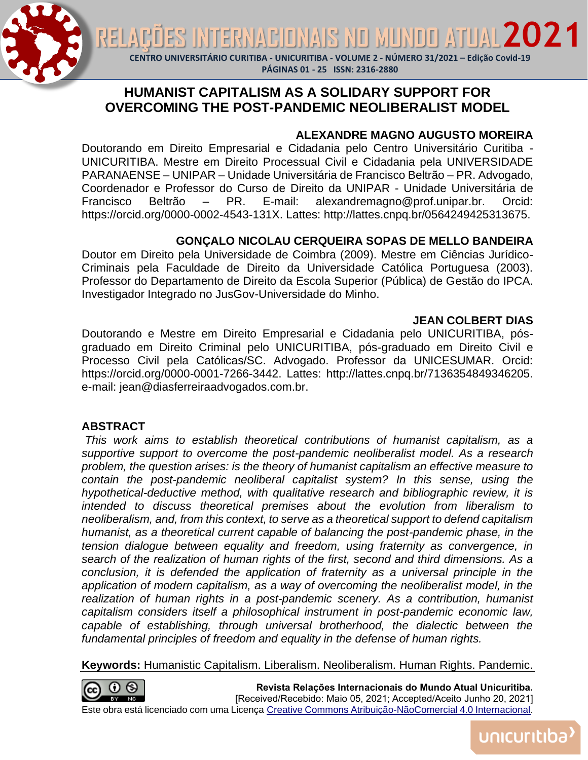**TERNACIONAIS NO MUNDO ATUAL 202** 



RE.

**CENTRO UNIVERSITÁRIO CURITIBA - UNICURITIBA - VOLUME 2 - NÚMERO 31/2021 – Edição Covid-19**

#### **PÁGINAS 01 - 25 ISSN: 2316-2880**

# **HUMANIST CAPITALISM AS A SOLIDARY SUPPORT FOR OVERCOMING THE POST-PANDEMIC NEOLIBERALIST MODEL**

## **ALEXANDRE MAGNO AUGUSTO MOREIRA**

Doutorando em Direito Empresarial e Cidadania pelo Centro Universitário Curitiba - UNICURITIBA. Mestre em Direito Processual Civil e Cidadania pela UNIVERSIDADE PARANAENSE – UNIPAR – Unidade Universitária de Francisco Beltrão – PR. Advogado, Coordenador e Professor do Curso de Direito da UNIPAR - Unidade Universitária de Francisco Beltrão – PR. E-mail: alexandremagno@prof.unipar.br. Orcid: https://orcid.org/0000-0002-4543-131X. Lattes: http://lattes.cnpq.br/0564249425313675.

## **GONÇALO NICOLAU CERQUEIRA SOPAS DE MELLO BANDEIRA**

Doutor em Direito pela Universidade de Coimbra (2009). Mestre em Ciências Jurídico-Criminais pela Faculdade de Direito da Universidade Católica Portuguesa (2003). Professor do Departamento de Direito da Escola Superior (Pública) de Gestão do IPCA. Investigador Integrado no JusGov-Universidade do Minho.

### **JEAN COLBERT DIAS**

Doutorando e Mestre em Direito Empresarial e Cidadania pelo UNICURITIBA, pósgraduado em Direito Criminal pelo UNICURITIBA, pós-graduado em Direito Civil e Processo Civil pela Católicas/SC. Advogado. Professor da UNICESUMAR. Orcid: https://orcid.org/0000-0001-7266-3442. Lattes: http://lattes.cnpq.br/7136354849346205. e-mail: jean@diasferreiraadvogados.com.br.

## **ABSTRACT**

*This work aims to establish theoretical contributions of humanist capitalism, as a supportive support to overcome the post-pandemic neoliberalist model. As a research problem, the question arises: is the theory of humanist capitalism an effective measure to contain the post-pandemic neoliberal capitalist system? In this sense, using the hypothetical-deductive method, with qualitative research and bibliographic review, it is intended to discuss theoretical premises about the evolution from liberalism to neoliberalism, and, from this context, to serve as a theoretical support to defend capitalism humanist, as a theoretical current capable of balancing the post-pandemic phase, in the tension dialogue between equality and freedom, using fraternity as convergence, in search of the realization of human rights of the first, second and third dimensions. As a conclusion, it is defended the application of fraternity as a universal principle in the application of modern capitalism, as a way of overcoming the neoliberalist model, in the realization of human rights in a post-pandemic scenery. As a contribution, humanist capitalism considers itself a philosophical instrument in post-pandemic economic law,*  capable of establishing, through universal brotherhood, the dialectic between the *fundamental principles of freedom and equality in the defense of human rights.*

**Keywords:** Humanistic Capitalism. Liberalism. Neoliberalism. Human Rights. Pandemic.



**Revista Relações Internacionais do Mundo Atual Unicuritiba.**  [Received/Recebido: Maio 05, 2021; Accepted/Aceito Junho 20, 2021] Este obra está licenciado com uma Licença [Creative Commons Atribuição-NãoComercial 4.0 Internacional.](http://creativecommons.org/licenses/by-nc/4.0/)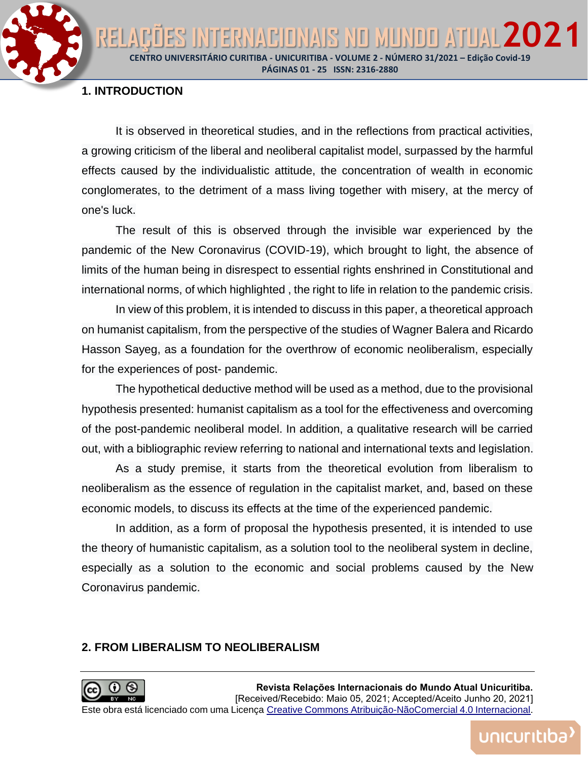**CENTRO UNIVERSITÁRIO CURITIBA - UNICURITIBA - VOLUME 2 - NÚMERO 31/2021 – Edição Covid-19 PÁGINAS 01 - 25 ISSN: 2316-2880**

ITERNACIONAIS NO MUNDO ATUAL 202

#### **1. INTRODUCTION**

RELA

It is observed in theoretical studies, and in the reflections from practical activities, a growing criticism of the liberal and neoliberal capitalist model, surpassed by the harmful effects caused by the individualistic attitude, the concentration of wealth in economic conglomerates, to the detriment of a mass living together with misery, at the mercy of one's luck.

The result of this is observed through the invisible war experienced by the pandemic of the New Coronavirus (COVID-19), which brought to light, the absence of limits of the human being in disrespect to essential rights enshrined in Constitutional and international norms, of which highlighted , the right to life in relation to the pandemic crisis.

In view of this problem, it is intended to discuss in this paper, a theoretical approach on humanist capitalism, from the perspective of the studies of Wagner Balera and Ricardo Hasson Sayeg, as a foundation for the overthrow of economic neoliberalism, especially for the experiences of post- pandemic.

The hypothetical deductive method will be used as a method, due to the provisional hypothesis presented: humanist capitalism as a tool for the effectiveness and overcoming of the post-pandemic neoliberal model. In addition, a qualitative research will be carried out, with a bibliographic review referring to national and international texts and legislation.

As a study premise, it starts from the theoretical evolution from liberalism to neoliberalism as the essence of regulation in the capitalist market, and, based on these economic models, to discuss its effects at the time of the experienced pandemic.

In addition, as a form of proposal the hypothesis presented, it is intended to use the theory of humanistic capitalism, as a solution tool to the neoliberal system in decline, especially as a solution to the economic and social problems caused by the New Coronavirus pandemic.

#### **2. FROM LIBERALISM TO NEOLIBERALISM**

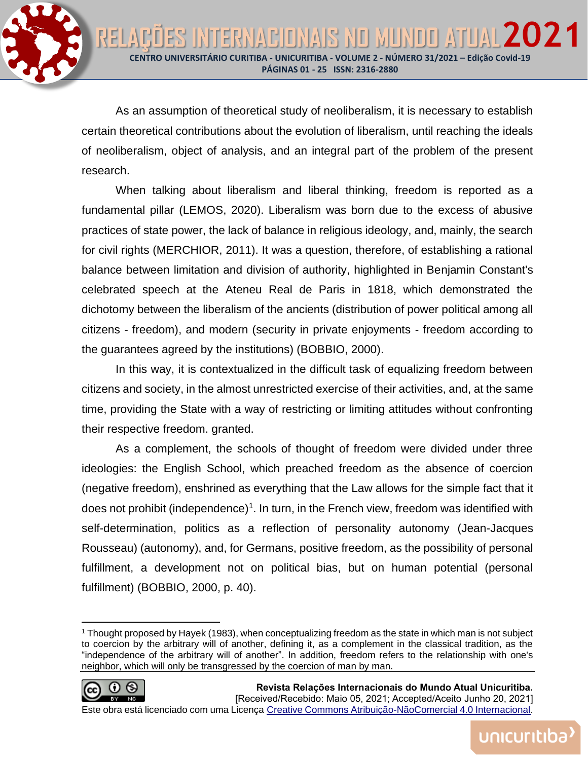As an assumption of theoretical study of neoliberalism, it is necessary to establish certain theoretical contributions about the evolution of liberalism, until reaching the ideals of neoliberalism, object of analysis, and an integral part of the problem of the present research.

When talking about liberalism and liberal thinking, freedom is reported as a fundamental pillar (LEMOS, 2020). Liberalism was born due to the excess of abusive practices of state power, the lack of balance in religious ideology, and, mainly, the search for civil rights (MERCHIOR, 2011). It was a question, therefore, of establishing a rational balance between limitation and division of authority, highlighted in Benjamin Constant's celebrated speech at the Ateneu Real de Paris in 1818, which demonstrated the dichotomy between the liberalism of the ancients (distribution of power political among all citizens - freedom), and modern (security in private enjoyments - freedom according to the guarantees agreed by the institutions) (BOBBIO, 2000).

In this way, it is contextualized in the difficult task of equalizing freedom between citizens and society, in the almost unrestricted exercise of their activities, and, at the same time, providing the State with a way of restricting or limiting attitudes without confronting their respective freedom. granted.

As a complement, the schools of thought of freedom were divided under three ideologies: the English School, which preached freedom as the absence of coercion (negative freedom), enshrined as everything that the Law allows for the simple fact that it does not prohibit (independence)<sup>1</sup>. In turn, in the French view, freedom was identified with self-determination, politics as a reflection of personality autonomy (Jean-Jacques Rousseau) (autonomy), and, for Germans, positive freedom, as the possibility of personal fulfillment, a development not on political bias, but on human potential (personal fulfillment) (BOBBIO, 2000, p. 40).

<sup>1</sup> Thought proposed by Hayek (1983), when conceptualizing freedom as the state in which man is not subject to coercion by the arbitrary will of another, defining it, as a complement in the classical tradition, as the "independence of the arbitrary will of another". In addition, freedom refers to the relationship with one's neighbor, which will only be transgressed by the coercion of man by man.

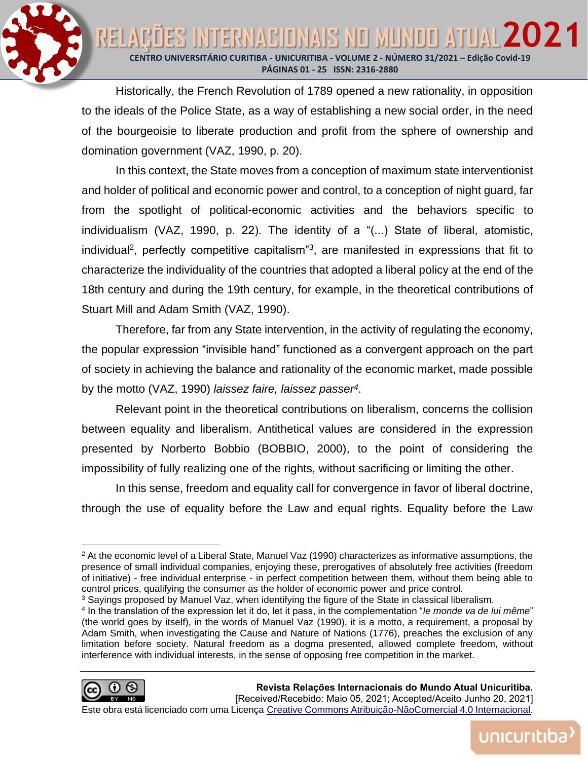

Historically, the French Revolution of 1789 opened a new rationality, in opposition to the ideals of the Police State, as a way of establishing a new social order, in the need of the bourgeoisie to liberate production and profit from the sphere of ownership and domination government (VAZ, 1990, p. 20).

In this context, the State moves from a conception of maximum state interventionist and holder of political and economic power and control, to a conception of night guard, far from the spotlight of political-economic activities and the behaviors specific to individualism (VAZ, 1990, p. 22). The identity of a "(...) State of liberal, atomistic, individual<sup>2</sup>, perfectly competitive capitalism<sup>3</sup>, are manifested in expressions that fit to characterize the individuality of the countries that adopted a liberal policy at the end of the 18th century and during the 19th century, for example, in the theoretical contributions of Stuart Mill and Adam Smith (VAZ, 1990).

Therefore, far from any State intervention, in the activity of regulating the economy, the popular expression "invisible hand" functioned as a convergent approach on the part of society in achieving the balance and rationality of the economic market, made possible by the motto (VAZ, 1990) *laissez faire, laissez passer<sup>4</sup>* .

Relevant point in the theoretical contributions on liberalism, concerns the collision between equality and liberalism. Antithetical values are considered in the expression presented by Norberto Bobbio (BOBBIO, 2000), to the point of considering the impossibility of fully realizing one of the rights, without sacrificing or limiting the other.

In this sense, freedom and equality call for convergence in favor of liberal doctrine, through the use of equality before the Law and equal rights. Equality before the Law

<sup>4</sup> In the translation of the expression let it do, let it pass, in the complementation "*le monde va de lui même*" (the world goes by itself), in the words of Manuel Vaz (1990), it is a motto, a requirement, a proposal by Adam Smith, when investigating the Cause and Nature of Nations (1776), preaches the exclusion of any limitation before society. Natural freedom as a dogma presented, allowed complete freedom, without interference with individual interests, in the sense of opposing free competition in the market.



unicuritiba

<sup>&</sup>lt;sup>2</sup> At the economic level of a Liberal State, Manuel Vaz (1990) characterizes as informative assumptions, the presence of small individual companies, enjoying these, prerogatives of absolutely free activities (freedom of initiative) - free individual enterprise - in perfect competition between them, without them being able to control prices, qualifying the consumer as the holder of economic power and price control.

 $3$  Sayings proposed by Manuel Vaz, when identifying the figure of the State in classical liberalism.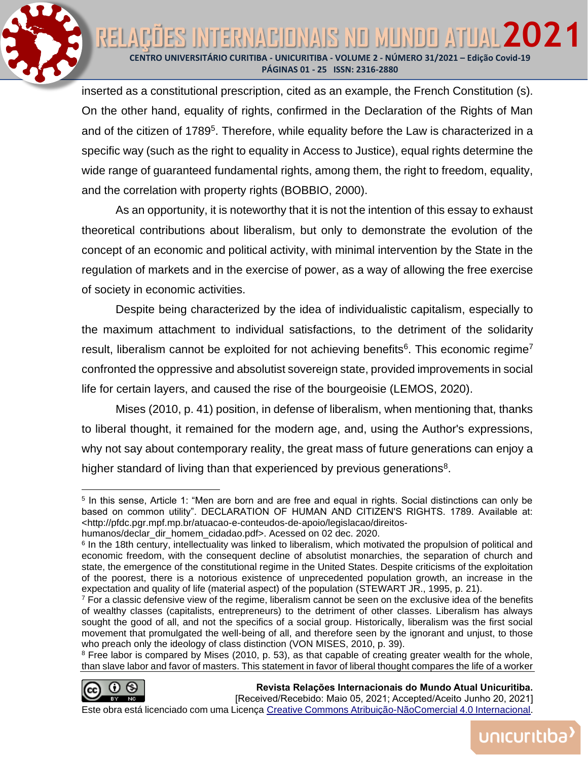ES INTERNACIONAIS NO MUNDO ATUAL 202 **CENTRO UNIVERSITÁRIO CURITIBA - UNICURITIBA - VOLUME 2 - NÚMERO 31/2021 – Edição Covid-19 PÁGINAS 01 - 25 ISSN: 2316-2880**

inserted as a constitutional prescription, cited as an example, the French Constitution (s). On the other hand, equality of rights, confirmed in the Declaration of the Rights of Man and of the citizen of 1789<sup>5</sup>. Therefore, while equality before the Law is characterized in a specific way (such as the right to equality in Access to Justice), equal rights determine the wide range of guaranteed fundamental rights, among them, the right to freedom, equality, and the correlation with property rights (BOBBIO, 2000).

As an opportunity, it is noteworthy that it is not the intention of this essay to exhaust theoretical contributions about liberalism, but only to demonstrate the evolution of the concept of an economic and political activity, with minimal intervention by the State in the regulation of markets and in the exercise of power, as a way of allowing the free exercise of society in economic activities.

Despite being characterized by the idea of individualistic capitalism, especially to the maximum attachment to individual satisfactions, to the detriment of the solidarity result, liberalism cannot be exploited for not achieving benefits<sup>6</sup>. This economic regime<sup>7</sup> confronted the oppressive and absolutist sovereign state, provided improvements in social life for certain layers, and caused the rise of the bourgeoisie (LEMOS, 2020).

Mises (2010, p. 41) position, in defense of liberalism, when mentioning that, thanks to liberal thought, it remained for the modern age, and, using the Author's expressions, why not say about contemporary reality, the great mass of future generations can enjoy a higher standard of living than that experienced by previous generations<sup>8</sup>.

<sup>8</sup> Free labor is compared by Mises (2010, p. 53), as that capable of creating greater wealth for the whole, than slave labor and favor of masters. This statement in favor of liberal thought compares the life of a worker



RELAD

**Revista Relações Internacionais do Mundo Atual Unicuritiba.**  [Received/Recebido: Maio 05, 2021; Accepted/Aceito Junho 20, 2021]

unicuritiba

<sup>5</sup> In this sense, Article 1: "Men are born and are free and equal in rights. Social distinctions can only be based on common utility". DECLARATION OF HUMAN AND CITIZEN'S RIGHTS. 1789. Available at: <http://pfdc.pgr.mpf.mp.br/atuacao-e-conteudos-de-apoio/legislacao/direitos-

humanos/declar\_dir\_homem\_cidadao.pdf>. Acessed on 02 dec. 2020.

<sup>&</sup>lt;sup>6</sup> In the 18th century, intellectuality was linked to liberalism, which motivated the propulsion of political and economic freedom, with the consequent decline of absolutist monarchies, the separation of church and state, the emergence of the constitutional regime in the United States. Despite criticisms of the exploitation of the poorest, there is a notorious existence of unprecedented population growth, an increase in the expectation and quality of life (material aspect) of the population (STEWART JR., 1995, p. 21).

<sup>7</sup> For a classic defensive view of the regime, liberalism cannot be seen on the exclusive idea of the benefits of wealthy classes (capitalists, entrepreneurs) to the detriment of other classes. Liberalism has always sought the good of all, and not the specifics of a social group. Historically, liberalism was the first social movement that promulgated the well-being of all, and therefore seen by the ignorant and unjust, to those who preach only the ideology of class distinction (VON MISES, 2010, p. 39).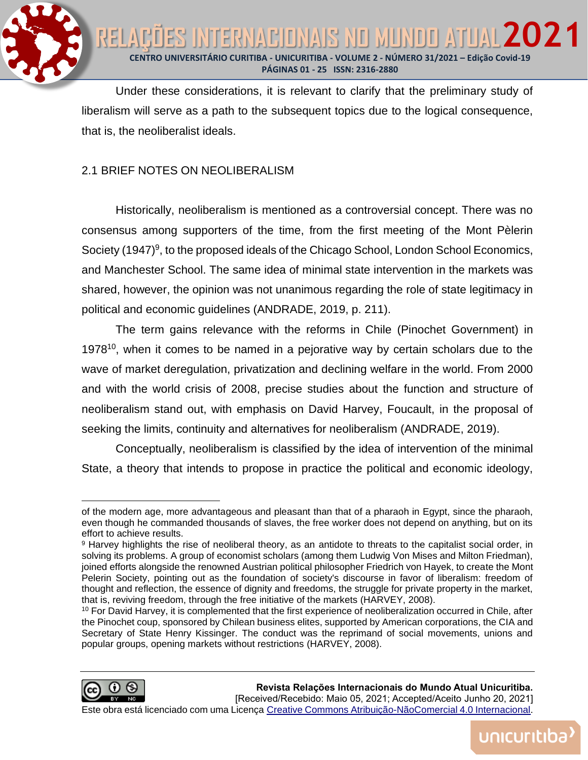

Under these considerations, it is relevant to clarify that the preliminary study of liberalism will serve as a path to the subsequent topics due to the logical consequence, that is, the neoliberalist ideals.

## 2.1 BRIEF NOTES ON NEOLIBERALISM

Historically, neoliberalism is mentioned as a controversial concept. There was no consensus among supporters of the time, from the first meeting of the Mont Pèlerin Society (1947)<sup>9</sup>, to the proposed ideals of the Chicago School, London School Economics, and Manchester School. The same idea of minimal state intervention in the markets was shared, however, the opinion was not unanimous regarding the role of state legitimacy in political and economic guidelines (ANDRADE, 2019, p. 211).

The term gains relevance with the reforms in Chile (Pinochet Government) in  $1978<sup>10</sup>$ , when it comes to be named in a pejorative way by certain scholars due to the wave of market deregulation, privatization and declining welfare in the world. From 2000 and with the world crisis of 2008, precise studies about the function and structure of neoliberalism stand out, with emphasis on David Harvey, Foucault, in the proposal of seeking the limits, continuity and alternatives for neoliberalism (ANDRADE, 2019).

Conceptually, neoliberalism is classified by the idea of intervention of the minimal State, a theory that intends to propose in practice the political and economic ideology,

<sup>&</sup>lt;sup>10</sup> For David Harvey, it is complemented that the first experience of neoliberalization occurred in Chile, after the Pinochet coup, sponsored by Chilean business elites, supported by American corporations, the CIA and Secretary of State Henry Kissinger. The conduct was the reprimand of social movements, unions and popular groups, opening markets without restrictions (HARVEY, 2008).



of the modern age, more advantageous and pleasant than that of a pharaoh in Egypt, since the pharaoh, even though he commanded thousands of slaves, the free worker does not depend on anything, but on its effort to achieve results.

<sup>9</sup> Harvey highlights the rise of neoliberal theory, as an antidote to threats to the capitalist social order, in solving its problems. A group of economist scholars (among them Ludwig Von Mises and Milton Friedman), joined efforts alongside the renowned Austrian political philosopher Friedrich von Hayek, to create the Mont Pelerin Society, pointing out as the foundation of society's discourse in favor of liberalism: freedom of thought and reflection, the essence of dignity and freedoms, the struggle for private property in the market, that is, reviving freedom, through the free initiative of the markets (HARVEY, 2008).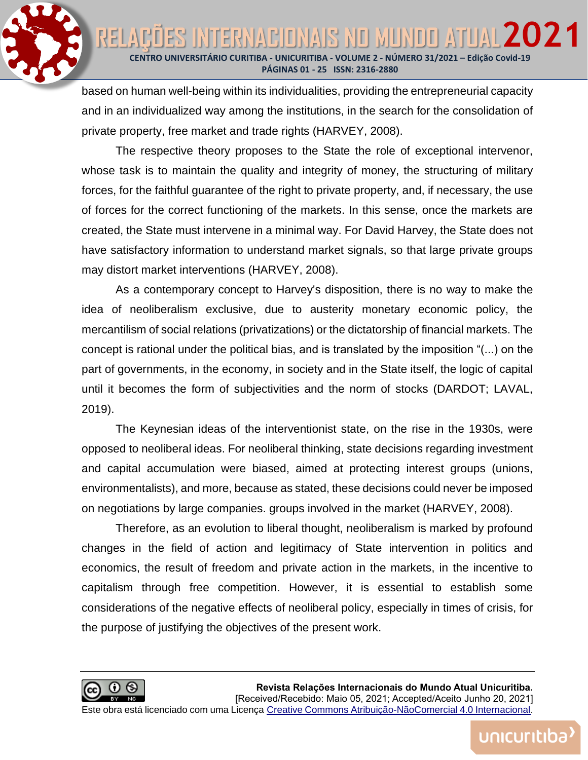

based on human well-being within its individualities, providing the entrepreneurial capacity and in an individualized way among the institutions, in the search for the consolidation of private property, free market and trade rights (HARVEY, 2008).

The respective theory proposes to the State the role of exceptional intervenor, whose task is to maintain the quality and integrity of money, the structuring of military forces, for the faithful guarantee of the right to private property, and, if necessary, the use of forces for the correct functioning of the markets. In this sense, once the markets are created, the State must intervene in a minimal way. For David Harvey, the State does not have satisfactory information to understand market signals, so that large private groups may distort market interventions (HARVEY, 2008).

As a contemporary concept to Harvey's disposition, there is no way to make the idea of neoliberalism exclusive, due to austerity monetary economic policy, the mercantilism of social relations (privatizations) or the dictatorship of financial markets. The concept is rational under the political bias, and is translated by the imposition "(...) on the part of governments, in the economy, in society and in the State itself, the logic of capital until it becomes the form of subjectivities and the norm of stocks (DARDOT; LAVAL, 2019).

The Keynesian ideas of the interventionist state, on the rise in the 1930s, were opposed to neoliberal ideas. For neoliberal thinking, state decisions regarding investment and capital accumulation were biased, aimed at protecting interest groups (unions, environmentalists), and more, because as stated, these decisions could never be imposed on negotiations by large companies. groups involved in the market (HARVEY, 2008).

Therefore, as an evolution to liberal thought, neoliberalism is marked by profound changes in the field of action and legitimacy of State intervention in politics and economics, the result of freedom and private action in the markets, in the incentive to capitalism through free competition. However, it is essential to establish some considerations of the negative effects of neoliberal policy, especially in times of crisis, for the purpose of justifying the objectives of the present work.

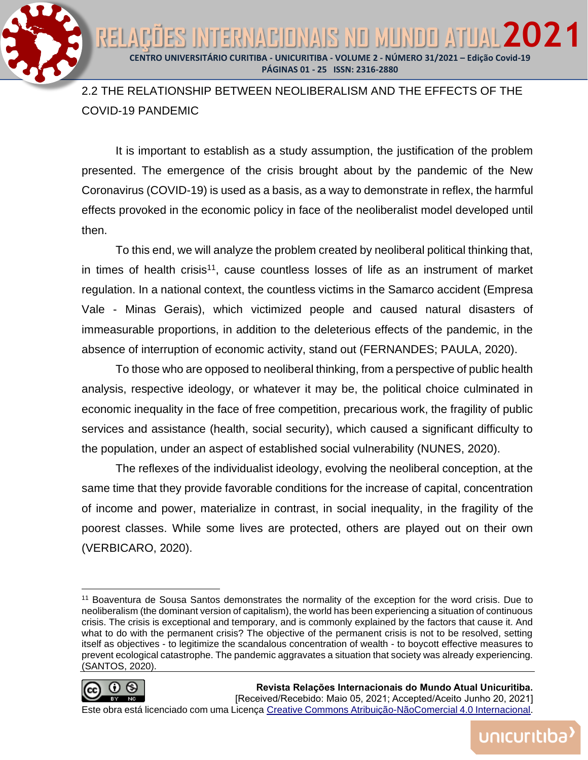**CENTRO UNIVERSITÁRIO CURITIBA - UNICURITIBA - VOLUME 2 - NÚMERO 31/2021 – Edição Covid-19 PÁGINAS 01 - 25 ISSN: 2316-2880**

ITERNACIONAIS NO MUNDO ATUAL 202

# 2.2 THE RELATIONSHIP BETWEEN NEOLIBERALISM AND THE EFFECTS OF THE COVID-19 PANDEMIC

It is important to establish as a study assumption, the justification of the problem presented. The emergence of the crisis brought about by the pandemic of the New Coronavirus (COVID-19) is used as a basis, as a way to demonstrate in reflex, the harmful effects provoked in the economic policy in face of the neoliberalist model developed until then.

To this end, we will analyze the problem created by neoliberal political thinking that, in times of health crisis<sup>11</sup>, cause countless losses of life as an instrument of market regulation. In a national context, the countless victims in the Samarco accident (Empresa Vale - Minas Gerais), which victimized people and caused natural disasters of immeasurable proportions, in addition to the deleterious effects of the pandemic, in the absence of interruption of economic activity, stand out (FERNANDES; PAULA, 2020).

To those who are opposed to neoliberal thinking, from a perspective of public health analysis, respective ideology, or whatever it may be, the political choice culminated in economic inequality in the face of free competition, precarious work, the fragility of public services and assistance (health, social security), which caused a significant difficulty to the population, under an aspect of established social vulnerability (NUNES, 2020).

The reflexes of the individualist ideology, evolving the neoliberal conception, at the same time that they provide favorable conditions for the increase of capital, concentration of income and power, materialize in contrast, in social inequality, in the fragility of the poorest classes. While some lives are protected, others are played out on their own (VERBICARO, 2020).

<sup>11</sup> Boaventura de Sousa Santos demonstrates the normality of the exception for the word crisis. Due to neoliberalism (the dominant version of capitalism), the world has been experiencing a situation of continuous crisis. The crisis is exceptional and temporary, and is commonly explained by the factors that cause it. And what to do with the permanent crisis? The objective of the permanent crisis is not to be resolved, setting itself as objectives - to legitimize the scandalous concentration of wealth - to boycott effective measures to prevent ecological catastrophe. The pandemic aggravates a situation that society was already experiencing. (SANTOS, 2020).



REI

unicuritiba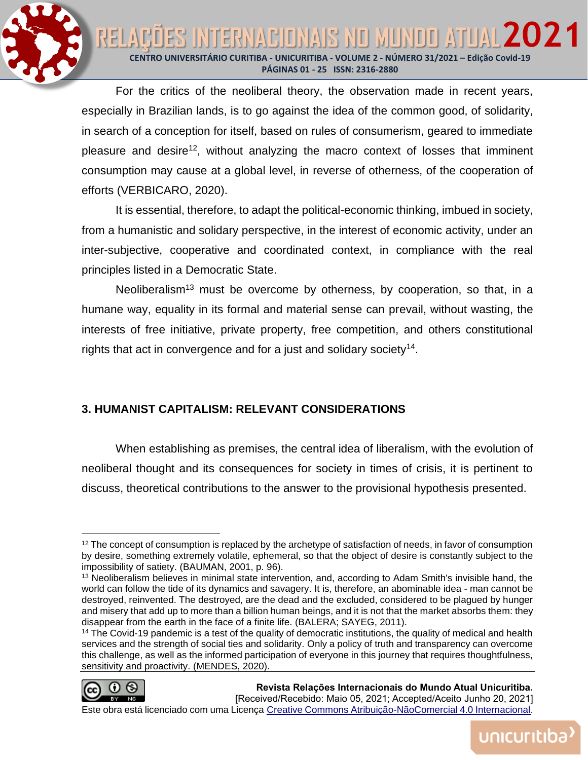

For the critics of the neoliberal theory, the observation made in recent years, especially in Brazilian lands, is to go against the idea of the common good, of solidarity, in search of a conception for itself, based on rules of consumerism, geared to immediate pleasure and desire<sup>12</sup>, without analyzing the macro context of losses that imminent consumption may cause at a global level, in reverse of otherness, of the cooperation of efforts (VERBICARO, 2020).

It is essential, therefore, to adapt the political-economic thinking, imbued in society, from a humanistic and solidary perspective, in the interest of economic activity, under an inter-subjective, cooperative and coordinated context, in compliance with the real principles listed in a Democratic State.

Neoliberalism<sup>13</sup> must be overcome by otherness, by cooperation, so that, in a humane way, equality in its formal and material sense can prevail, without wasting, the interests of free initiative, private property, free competition, and others constitutional rights that act in convergence and for a just and solidary society<sup>14</sup>.

# **3. HUMANIST CAPITALISM: RELEVANT CONSIDERATIONS**

When establishing as premises, the central idea of liberalism, with the evolution of neoliberal thought and its consequences for society in times of crisis, it is pertinent to discuss, theoretical contributions to the answer to the provisional hypothesis presented.

<sup>&</sup>lt;sup>14</sup> The Covid-19 pandemic is a test of the quality of democratic institutions, the quality of medical and health services and the strength of social ties and solidarity. Only a policy of truth and transparency can overcome this challenge, as well as the informed participation of everyone in this journey that requires thoughtfulness, sensitivity and proactivity. (MENDES, 2020).



<sup>&</sup>lt;sup>12</sup> The concept of consumption is replaced by the archetype of satisfaction of needs, in favor of consumption by desire, something extremely volatile, ephemeral, so that the object of desire is constantly subject to the impossibility of satiety. (BAUMAN, 2001, p. 96).

<sup>&</sup>lt;sup>13</sup> Neoliberalism believes in minimal state intervention, and, according to Adam Smith's invisible hand, the world can follow the tide of its dynamics and savagery. It is, therefore, an abominable idea - man cannot be destroyed, reinvented. The destroyed, are the dead and the excluded, considered to be plagued by hunger and misery that add up to more than a billion human beings, and it is not that the market absorbs them: they disappear from the earth in the face of a finite life. (BALERA; SAYEG, 2011).

Este obra está licenciado com uma Licença [Creative Commons Atribuição-NãoComercial 4.0 Internacional.](http://creativecommons.org/licenses/by-nc/4.0/)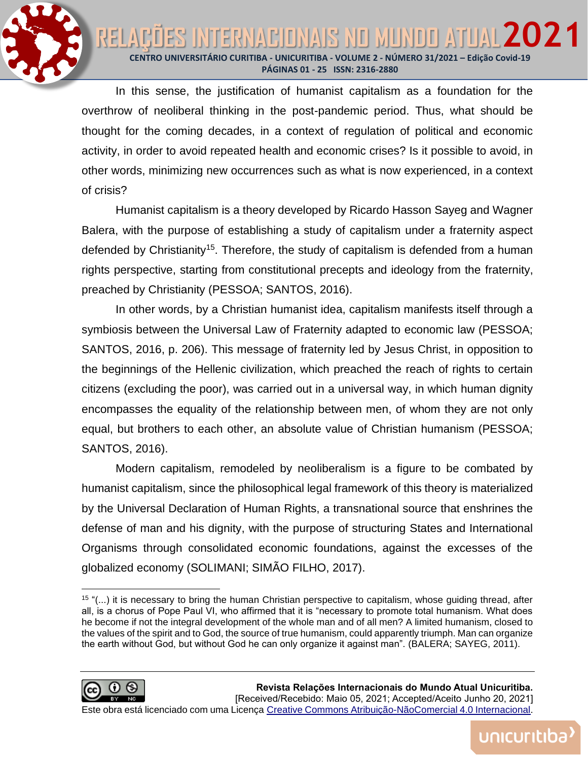NTERNACIONAIS NO MUNDO ATUAL 202 **RELA CENTRO UNIVERSITÁRIO CURITIBA - UNICURITIBA - VOLUME 2 - NÚMERO 31/2021 – Edição Covid-19 PÁGINAS 01 - 25 ISSN: 2316-2880**

> In this sense, the justification of humanist capitalism as a foundation for the overthrow of neoliberal thinking in the post-pandemic period. Thus, what should be thought for the coming decades, in a context of regulation of political and economic activity, in order to avoid repeated health and economic crises? Is it possible to avoid, in other words, minimizing new occurrences such as what is now experienced, in a context of crisis?

> Humanist capitalism is a theory developed by Ricardo Hasson Sayeg and Wagner Balera, with the purpose of establishing a study of capitalism under a fraternity aspect defended by Christianity<sup>15</sup>. Therefore, the study of capitalism is defended from a human rights perspective, starting from constitutional precepts and ideology from the fraternity, preached by Christianity (PESSOA; SANTOS, 2016).

> In other words, by a Christian humanist idea, capitalism manifests itself through a symbiosis between the Universal Law of Fraternity adapted to economic law (PESSOA; SANTOS, 2016, p. 206). This message of fraternity led by Jesus Christ, in opposition to the beginnings of the Hellenic civilization, which preached the reach of rights to certain citizens (excluding the poor), was carried out in a universal way, in which human dignity encompasses the equality of the relationship between men, of whom they are not only equal, but brothers to each other, an absolute value of Christian humanism (PESSOA; SANTOS, 2016).

> Modern capitalism, remodeled by neoliberalism is a figure to be combated by humanist capitalism, since the philosophical legal framework of this theory is materialized by the Universal Declaration of Human Rights, a transnational source that enshrines the defense of man and his dignity, with the purpose of structuring States and International Organisms through consolidated economic foundations, against the excesses of the globalized economy (SOLIMANI; SIMÃO FILHO, 2017).

<sup>15</sup> "(...) it is necessary to bring the human Christian perspective to capitalism, whose guiding thread, after all, is a chorus of Pope Paul VI, who affirmed that it is "necessary to promote total humanism. What does he become if not the integral development of the whole man and of all men? A limited humanism, closed to the values of the spirit and to God, the source of true humanism, could apparently triumph. Man can organize the earth without God, but without God he can only organize it against man". (BALERA; SAYEG, 2011).

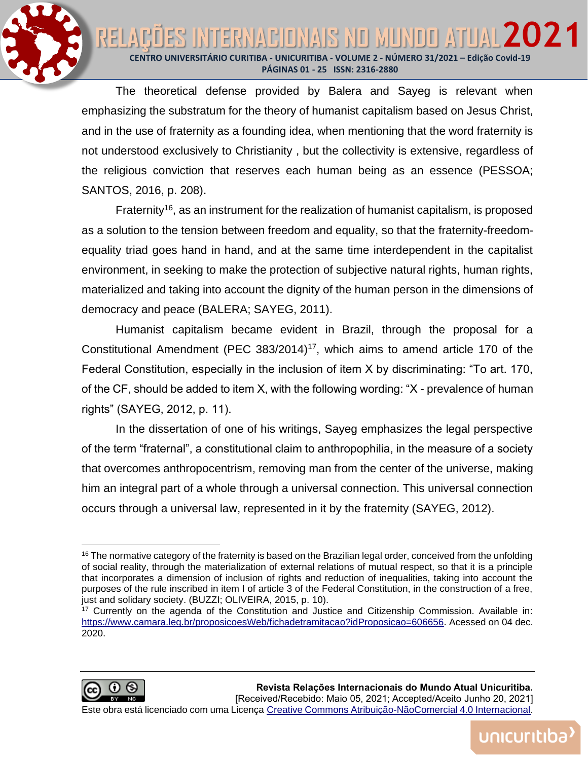NTERNACIONAIS NO MUNOO ATUAL 202 RELA **CENTRO UNIVERSITÁRIO CURITIBA - UNICURITIBA - VOLUME 2 - NÚMERO 31/2021 – Edição Covid-19 PÁGINAS 01 - 25 ISSN: 2316-2880**

> The theoretical defense provided by Balera and Sayeg is relevant when emphasizing the substratum for the theory of humanist capitalism based on Jesus Christ, and in the use of fraternity as a founding idea, when mentioning that the word fraternity is not understood exclusively to Christianity , but the collectivity is extensive, regardless of the religious conviction that reserves each human being as an essence (PESSOA; SANTOS, 2016, p. 208).

> Fraternity<sup>16</sup>, as an instrument for the realization of humanist capitalism, is proposed as a solution to the tension between freedom and equality, so that the fraternity-freedomequality triad goes hand in hand, and at the same time interdependent in the capitalist environment, in seeking to make the protection of subjective natural rights, human rights, materialized and taking into account the dignity of the human person in the dimensions of democracy and peace (BALERA; SAYEG, 2011).

> Humanist capitalism became evident in Brazil, through the proposal for a Constitutional Amendment (PEC 383/2014)<sup>17</sup>, which aims to amend article 170 of the Federal Constitution, especially in the inclusion of item X by discriminating: "To art. 170, of the CF, should be added to item X, with the following wording: "X - prevalence of human rights" (SAYEG, 2012, p. 11).

> In the dissertation of one of his writings, Sayeg emphasizes the legal perspective of the term "fraternal", a constitutional claim to anthropophilia, in the measure of a society that overcomes anthropocentrism, removing man from the center of the universe, making him an integral part of a whole through a universal connection. This universal connection occurs through a universal law, represented in it by the fraternity (SAYEG, 2012).

<sup>17</sup> Currently on the agenda of the Constitution and Justice and Citizenship Commission. Available in: [https://www.camara.leg.br/proposicoesWeb/fichadetramitacao?idProposicao=606656.](https://www.camara.leg.br/proposicoesWeb/fichadetramitacao?idProposicao=606656) Acessed on 04 dec. 2020.



<sup>&</sup>lt;sup>16</sup> The normative category of the fraternity is based on the Brazilian legal order, conceived from the unfolding of social reality, through the materialization of external relations of mutual respect, so that it is a principle that incorporates a dimension of inclusion of rights and reduction of inequalities, taking into account the purposes of the rule inscribed in item I of article 3 of the Federal Constitution, in the construction of a free, just and solidary society. (BUZZI; OLIVEIRA, 2015, p. 10).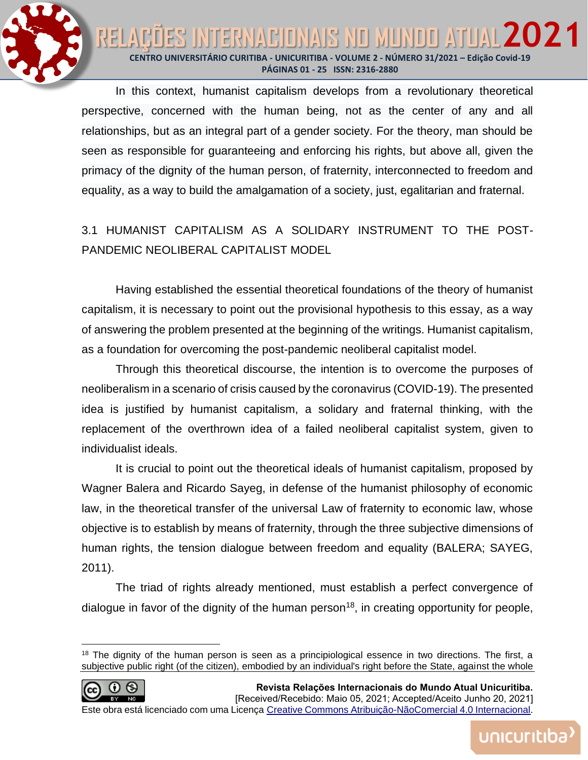ES INTERNACIONAIS NO MUNDO ATUAL 202 RELAD **CENTRO UNIVERSITÁRIO CURITIBA - UNICURITIBA - VOLUME 2 - NÚMERO 31/2021 – Edição Covid-19 PÁGINAS 01 - 25 ISSN: 2316-2880**

> In this context, humanist capitalism develops from a revolutionary theoretical perspective, concerned with the human being, not as the center of any and all relationships, but as an integral part of a gender society. For the theory, man should be seen as responsible for guaranteeing and enforcing his rights, but above all, given the primacy of the dignity of the human person, of fraternity, interconnected to freedom and equality, as a way to build the amalgamation of a society, just, egalitarian and fraternal.

> 3.1 HUMANIST CAPITALISM AS A SOLIDARY INSTRUMENT TO THE POST-PANDEMIC NEOLIBERAL CAPITALIST MODEL

> Having established the essential theoretical foundations of the theory of humanist capitalism, it is necessary to point out the provisional hypothesis to this essay, as a way of answering the problem presented at the beginning of the writings. Humanist capitalism, as a foundation for overcoming the post-pandemic neoliberal capitalist model.

> Through this theoretical discourse, the intention is to overcome the purposes of neoliberalism in a scenario of crisis caused by the coronavirus (COVID-19). The presented idea is justified by humanist capitalism, a solidary and fraternal thinking, with the replacement of the overthrown idea of a failed neoliberal capitalist system, given to individualist ideals.

> It is crucial to point out the theoretical ideals of humanist capitalism, proposed by Wagner Balera and Ricardo Sayeg, in defense of the humanist philosophy of economic law, in the theoretical transfer of the universal Law of fraternity to economic law, whose objective is to establish by means of fraternity, through the three subjective dimensions of human rights, the tension dialogue between freedom and equality (BALERA; SAYEG, 2011).

> The triad of rights already mentioned, must establish a perfect convergence of dialogue in favor of the dignity of the human person<sup>18</sup>, in creating opportunity for people,

<sup>&</sup>lt;sup>18</sup> The dignity of the human person is seen as a principiological essence in two directions. The first, a subjective public right (of the citizen), embodied by an individual's right before the State, against the whole

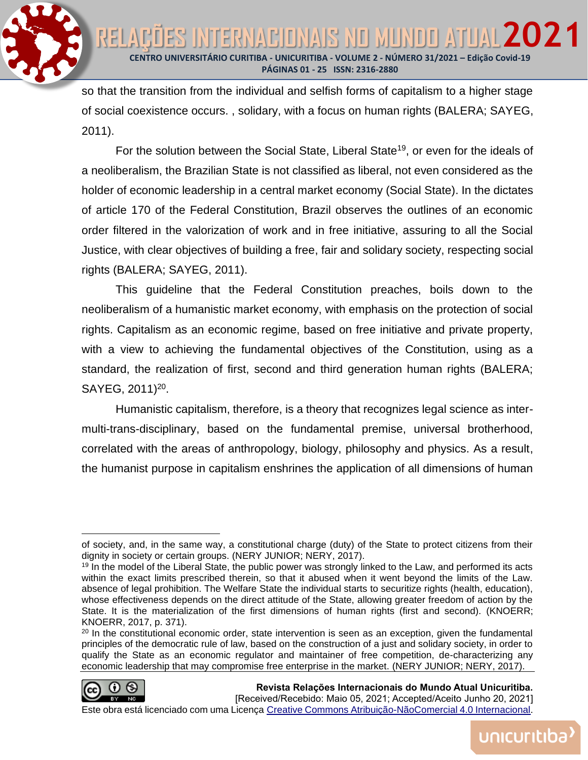**CENTRO UNIVERSITÁRIO CURITIBA - UNICURITIBA - VOLUME 2 - NÚMERO 31/2021 – Edição Covid-19 PÁGINAS 01 - 25 ISSN: 2316-2880**

NTERNACIONAIS NO MUNDO ATUAL 202

so that the transition from the individual and selfish forms of capitalism to a higher stage of social coexistence occurs. , solidary, with a focus on human rights (BALERA; SAYEG, 2011).

For the solution between the Social State, Liberal State<sup>19</sup>, or even for the ideals of a neoliberalism, the Brazilian State is not classified as liberal, not even considered as the holder of economic leadership in a central market economy (Social State). In the dictates of article 170 of the Federal Constitution, Brazil observes the outlines of an economic order filtered in the valorization of work and in free initiative, assuring to all the Social Justice, with clear objectives of building a free, fair and solidary society, respecting social rights (BALERA; SAYEG, 2011).

This guideline that the Federal Constitution preaches, boils down to the neoliberalism of a humanistic market economy, with emphasis on the protection of social rights. Capitalism as an economic regime, based on free initiative and private property, with a view to achieving the fundamental objectives of the Constitution, using as a standard, the realization of first, second and third generation human rights (BALERA; SAYEG, 2011)<sup>20</sup>.

Humanistic capitalism, therefore, is a theory that recognizes legal science as intermulti-trans-disciplinary, based on the fundamental premise, universal brotherhood, correlated with the areas of anthropology, biology, philosophy and physics. As a result, the humanist purpose in capitalism enshrines the application of all dimensions of human

 $20$  In the constitutional economic order, state intervention is seen as an exception, given the fundamental principles of the democratic rule of law, based on the construction of a just and solidary society, in order to qualify the State as an economic regulator and maintainer of free competition, de-characterizing any economic leadership that may compromise free enterprise in the market. (NERY JUNIOR; NERY, 2017).



RELA

**Revista Relações Internacionais do Mundo Atual Unicuritiba.**  [Received/Recebido: Maio 05, 2021; Accepted/Aceito Junho 20, 2021]

of society, and, in the same way, a constitutional charge (duty) of the State to protect citizens from their dignity in society or certain groups. (NERY JUNIOR; NERY, 2017).

<sup>&</sup>lt;sup>19</sup> In the model of the Liberal State, the public power was strongly linked to the Law, and performed its acts within the exact limits prescribed therein, so that it abused when it went beyond the limits of the Law. absence of legal prohibition. The Welfare State the individual starts to securitize rights (health, education), whose effectiveness depends on the direct attitude of the State, allowing greater freedom of action by the State. It is the materialization of the first dimensions of human rights (first and second). (KNOERR; KNOERR, 2017, p. 371).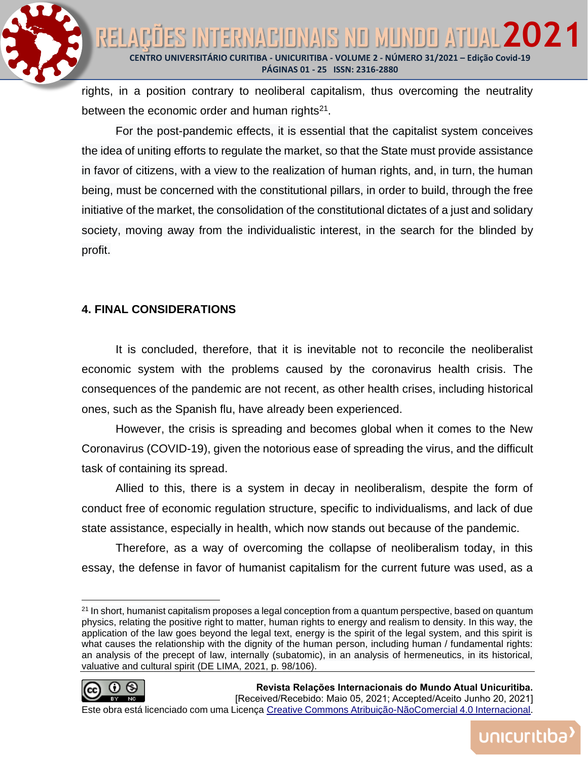

rights, in a position contrary to neoliberal capitalism, thus overcoming the neutrality between the economic order and human rights $21$ .

For the post-pandemic effects, it is essential that the capitalist system conceives the idea of uniting efforts to regulate the market, so that the State must provide assistance in favor of citizens, with a view to the realization of human rights, and, in turn, the human being, must be concerned with the constitutional pillars, in order to build, through the free initiative of the market, the consolidation of the constitutional dictates of a just and solidary society, moving away from the individualistic interest, in the search for the blinded by profit.

## **4. FINAL CONSIDERATIONS**

It is concluded, therefore, that it is inevitable not to reconcile the neoliberalist economic system with the problems caused by the coronavirus health crisis. The consequences of the pandemic are not recent, as other health crises, including historical ones, such as the Spanish flu, have already been experienced.

However, the crisis is spreading and becomes global when it comes to the New Coronavirus (COVID-19), given the notorious ease of spreading the virus, and the difficult task of containing its spread.

Allied to this, there is a system in decay in neoliberalism, despite the form of conduct free of economic regulation structure, specific to individualisms, and lack of due state assistance, especially in health, which now stands out because of the pandemic.

Therefore, as a way of overcoming the collapse of neoliberalism today, in this essay, the defense in favor of humanist capitalism for the current future was used, as a

<sup>&</sup>lt;sup>21</sup> In short, humanist capitalism proposes a legal conception from a quantum perspective, based on quantum physics, relating the positive right to matter, human rights to energy and realism to density. In this way, the application of the law goes beyond the legal text, energy is the spirit of the legal system, and this spirit is what causes the relationship with the dignity of the human person, including human / fundamental rights: an analysis of the precept of law, internally (subatomic), in an analysis of hermeneutics, in its historical, valuative and cultural spirit (DE LIMA, 2021, p. 98/106).



unicuritiba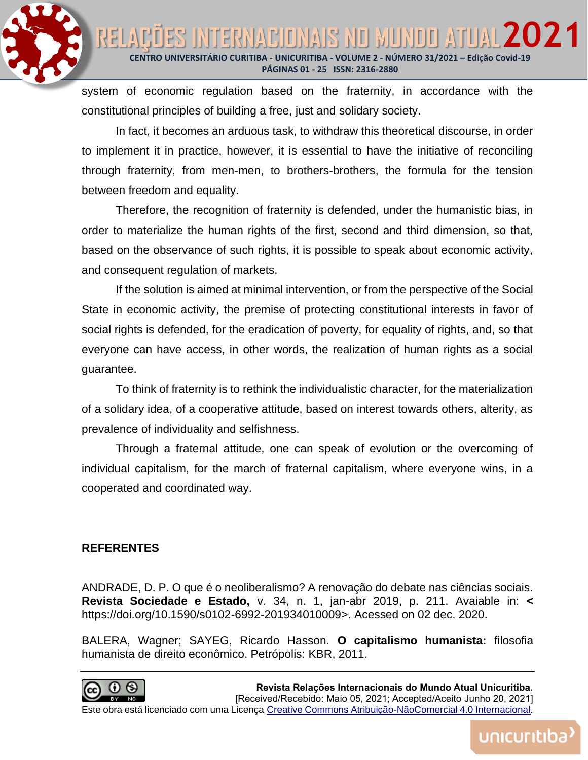

system of economic regulation based on the fraternity, in accordance with the constitutional principles of building a free, just and solidary society.

In fact, it becomes an arduous task, to withdraw this theoretical discourse, in order to implement it in practice, however, it is essential to have the initiative of reconciling through fraternity, from men-men, to brothers-brothers, the formula for the tension between freedom and equality.

Therefore, the recognition of fraternity is defended, under the humanistic bias, in order to materialize the human rights of the first, second and third dimension, so that, based on the observance of such rights, it is possible to speak about economic activity, and consequent regulation of markets.

If the solution is aimed at minimal intervention, or from the perspective of the Social State in economic activity, the premise of protecting constitutional interests in favor of social rights is defended, for the eradication of poverty, for equality of rights, and, so that everyone can have access, in other words, the realization of human rights as a social guarantee.

To think of fraternity is to rethink the individualistic character, for the materialization of a solidary idea, of a cooperative attitude, based on interest towards others, alterity, as prevalence of individuality and selfishness.

Through a fraternal attitude, one can speak of evolution or the overcoming of individual capitalism, for the march of fraternal capitalism, where everyone wins, in a cooperated and coordinated way.

## **REFERENTES**

ANDRADE, D. P. O que é o neoliberalismo? A renovação do debate nas ciências sociais. **Revista Sociedade e Estado,** v. 34, n. 1, jan-abr 2019, p. 211. Avaiable in: **<** [https://doi.org/10.1590/s0102-6992-201934010009>](https://doi.org/10.1590/s0102-6992-201934010009). Acessed on 02 dec. 2020.

BALERA, Wagner; SAYEG, Ricardo Hasson. **O capitalismo humanista:** filosofia humanista de direito econômico. Petrópolis: KBR, 2011.

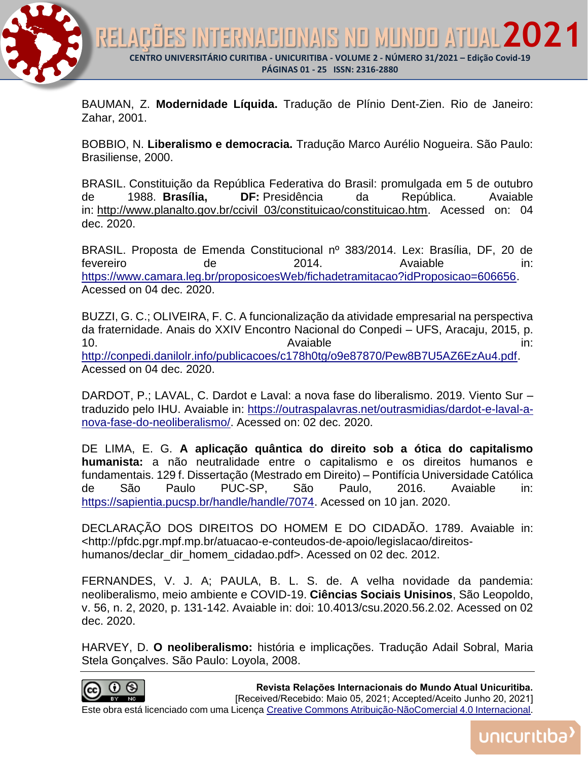

BAUMAN, Z. **Modernidade Líquida.** Tradução de Plínio Dent-Zien. Rio de Janeiro: Zahar, 2001.

BOBBIO, N. **Liberalismo e democracia.** Tradução Marco Aurélio Nogueira. São Paulo: Brasiliense, 2000.

BRASIL. Constituição da República Federativa do Brasil: promulgada em 5 de outubro de 1988. **Brasília, DF:** Presidência da República. Avaiable in: http://www.planalto.gov.br/ccivil 03/constituicao/constituicao.htm. Acessed on: 04 dec. 2020.

BRASIL. Proposta de Emenda Constitucional nº 383/2014. Lex: Brasília, DF, 20 de fevereiro de 2014. Avaiable in: [https://www.camara.leg.br/proposicoesWeb/fichadetramitacao?idProposicao=606656.](https://www.camara.leg.br/proposicoesWeb/fichadetramitacao?idProposicao=606656) Acessed on 04 dec. 2020.

BUZZI, G. C.; OLIVEIRA, F. C. A funcionalização da atividade empresarial na perspectiva da fraternidade. Anais do XXIV Encontro Nacional do Conpedi – UFS, Aracaju, 2015, p. 10. Contract the state of the Avaiable contract in the state of the state of the state of the state of the state of the state of the state of the state of the state of the state of the state of the state of the state of th [http://conpedi.danilolr.info/publicacoes/c178h0tg/o9e87870/Pew8B7U5AZ6EzAu4.pdf.](http://conpedi.danilolr.info/publicacoes/c178h0tg/o9e87870/Pew8B7U5AZ6EzAu4.pdf) Acessed on 04 dec. 2020.

DARDOT, P.; LAVAL, C. Dardot e Laval: a nova fase do liberalismo. 2019. Viento Sur – traduzido pelo IHU. Avaiable in: [https://outraspalavras.net/outrasmidias/dardot-e-laval-a](https://outraspalavras.net/outrasmidias/dardot-e-laval-a-nova-fase-do-neoliberalismo/)[nova-fase-do-neoliberalismo/.](https://outraspalavras.net/outrasmidias/dardot-e-laval-a-nova-fase-do-neoliberalismo/) Acessed on: 02 dec. 2020.

DE LIMA, E. G. **A aplicação quântica do direito sob a ótica do capitalismo humanista:** a não neutralidade entre o capitalismo e os direitos humanos e fundamentais. 129 f. Dissertação (Mestrado em Direito) – Pontifícia Universidade Católica de São Paulo PUC-SP, São Paulo, 2016. Avaiable in: [https://sapientia.pucsp.br/handle/handle/7074.](https://sapientia.pucsp.br/handle/handle/7074) Acessed on 10 jan. 2020.

DECLARAÇÃO DOS DIREITOS DO HOMEM E DO CIDADÃO. 1789. Avaiable in: <http://pfdc.pgr.mpf.mp.br/atuacao-e-conteudos-de-apoio/legislacao/direitoshumanos/declar\_dir\_homem\_cidadao.pdf>. Acessed on 02 dec. 2012.

FERNANDES, V. J. A; PAULA, B. L. S. de. A velha novidade da pandemia: neoliberalismo, meio ambiente e COVID-19. **Ciências Sociais Unisinos**, São Leopoldo, v. 56, n. 2, 2020, p. 131-142. Avaiable in: doi: 10.4013/csu.2020.56.2.02. Acessed on 02 dec. 2020.

HARVEY, D. **O neoliberalismo:** história e implicações. Tradução Adail Sobral, Maria Stela Gonçalves. São Paulo: Loyola, 2008.



**Revista Relações Internacionais do Mundo Atual Unicuritiba.**  [Received/Recebido: Maio 05, 2021; Accepted/Aceito Junho 20, 2021] Este obra está licenciado com uma Licença [Creative Commons Atribuição-NãoComercial 4.0 Internacional.](http://creativecommons.org/licenses/by-nc/4.0/)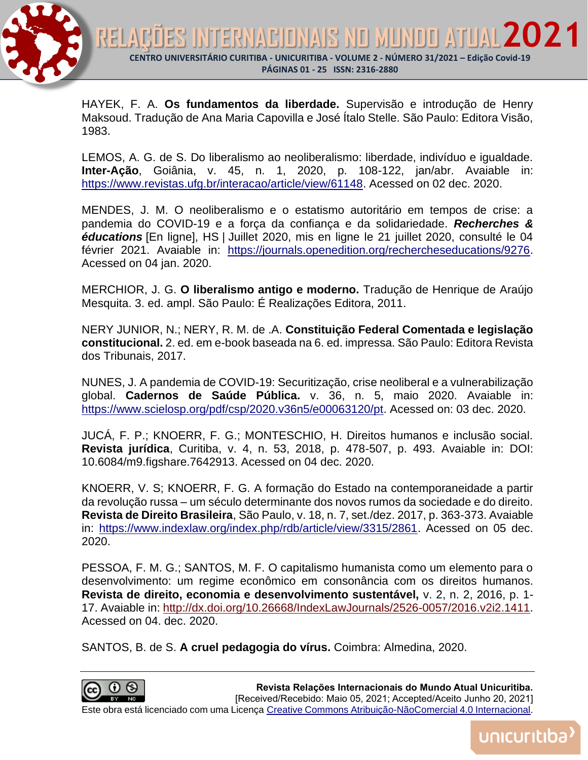

HAYEK, F. A. **Os fundamentos da liberdade.** Supervisão e introdução de Henry Maksoud. Tradução de Ana Maria Capovilla e José Ítalo Stelle. São Paulo: Editora Visão, 1983.

LEMOS, A. G. de S. Do liberalismo ao neoliberalismo: liberdade, indivíduo e igualdade. **Inter-Ação**, Goiânia, v. 45, n. 1, 2020, p. 108-122, jan/abr. Avaiable in: [https://www.revistas.ufg.br/interacao/article/view/61148.](https://www.revistas.ufg.br/interacao/article/view/61148) Acessed on 02 dec. 2020.

MENDES, J. M. O neoliberalismo e o estatismo autoritário em tempos de crise: a pandemia do COVID-19 e a força da confiança e da solidariedade. *Recherches & éducations* [En ligne], HS | Juillet 2020, mis en ligne le 21 juillet 2020, consulté le 04 février 2021. Avaiable in: [https://journals.openedition.org/rechercheseducations/9276.](https://journals.openedition.org/rechercheseducations/9276) Acessed on 04 jan. 2020.

MERCHIOR, J. G. **O liberalismo antigo e moderno.** Tradução de Henrique de Araújo Mesquita. 3. ed. ampl. São Paulo: É Realizações Editora, 2011.

NERY JUNIOR, N.; NERY, R. M. de .A. **Constituição Federal Comentada e legislação constitucional.** 2. ed. em e-book baseada na 6. ed. impressa. São Paulo: Editora Revista dos Tribunais, 2017.

NUNES, J. A pandemia de COVID-19: Securitização, crise neoliberal e a vulnerabilização global. **Cadernos de Saúde Pública.** v. 36, n. 5, maio 2020. Avaiable in: [https://www.scielosp.org/pdf/csp/2020.v36n5/e00063120/pt.](https://www.scielosp.org/pdf/csp/2020.v36n5/e00063120/pt) Acessed on: 03 dec. 2020.

JUCÁ, F. P.; KNOERR, F. G.; MONTESCHIO, H. Direitos humanos e inclusão social. **Revista jurídica**, Curitiba, v. 4, n. 53, 2018, p. 478-507, p. 493. Avaiable in: DOI: 10.6084/m9.figshare.7642913. Acessed on 04 dec. 2020.

KNOERR, V. S; KNOERR, F. G. A formação do Estado na contemporaneidade a partir da revolução russa – um século determinante dos novos rumos da sociedade e do direito. **Revista de Direito Brasileira**, São Paulo, v. 18, n. 7, set./dez. 2017, p. 363-373. Avaiable in: [https://www.indexlaw.org/index.php/rdb/article/view/3315/2861.](https://www.indexlaw.org/index.php/rdb/article/view/3315/2861) Acessed on 05 dec. 2020.

PESSOA, F. M. G.; SANTOS, M. F. O capitalismo humanista como um elemento para o desenvolvimento: um regime econômico em consonância com os direitos humanos. **Revista de direito, economia e desenvolvimento sustentável,** v. 2, n. 2, 2016, p. 1- 17. Avaiable in: [http://dx.doi.org/10.26668/IndexLawJournals/2526-0057/2016.v2i2.1411.](http://dx.doi.org/10.26668/IndexLawJournals/2526-0057/2016.v2i2.1411) Acessed on 04. dec. 2020.

SANTOS, B. de S. **A cruel pedagogia do vírus.** Coimbra: Almedina, 2020.